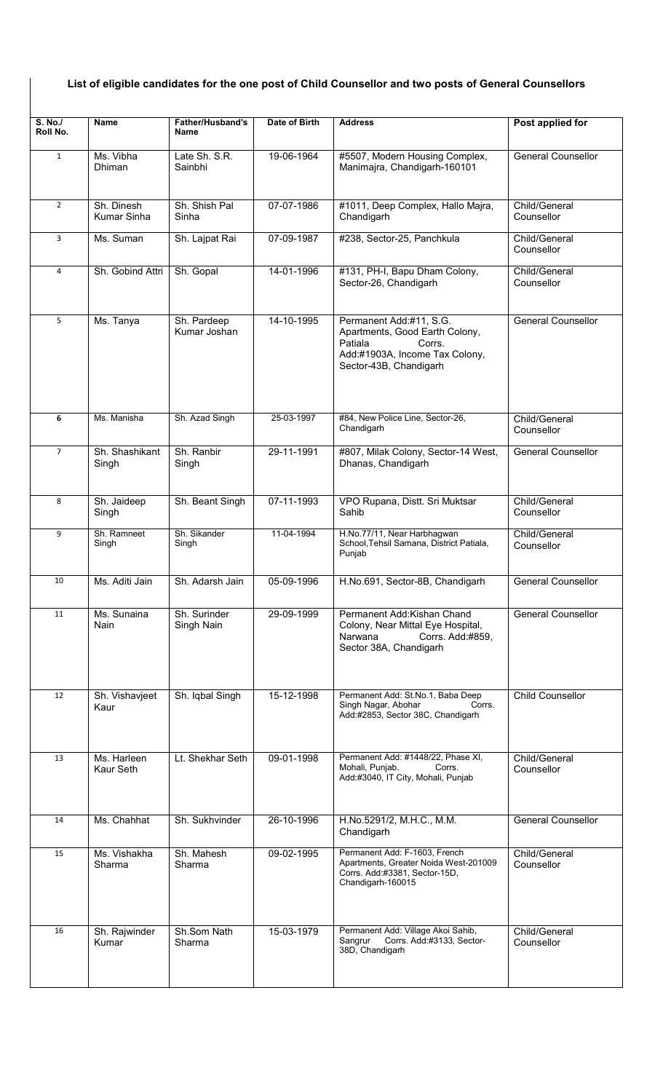## List of eligible candidates for the one post of Child Counsellor and two posts of General Counsellors

| S. No./<br>Roll No. | <b>Name</b>                | <b>Father/Husband's</b><br>Name | Date of Birth | <b>Address</b>                                                                                                                             | Post applied for            |
|---------------------|----------------------------|---------------------------------|---------------|--------------------------------------------------------------------------------------------------------------------------------------------|-----------------------------|
| $\mathbf{1}$        | Ms. Vibha<br>Dhiman        | Late Sh. S.R.<br>Sainbhi        | 19-06-1964    | #5507, Modern Housing Complex,<br>Manimajra, Chandigarh-160101                                                                             | <b>General Counsellor</b>   |
| $\overline{2}$      | Sh. Dinesh<br>Kumar Sinha  | Sh. Shish Pal<br>Sinha          | 07-07-1986    | #1011, Deep Complex, Hallo Majra,<br>Chandigarh                                                                                            | Child/General<br>Counsellor |
| 3                   | Ms. Suman                  | Sh. Lajpat Rai                  | 07-09-1987    | #238, Sector-25, Panchkula                                                                                                                 | Child/General<br>Counsellor |
| 4                   | Sh. Gobind Attri           | Sh. Gopal                       | 14-01-1996    | #131, PH-I, Bapu Dham Colony,<br>Sector-26, Chandigarh                                                                                     | Child/General<br>Counsellor |
| 5                   | Ms. Tanya                  | Sh. Pardeep<br>Kumar Joshan     | 14-10-1995    | Permanent Add:#11, S.G.<br>Apartments, Good Earth Colony,<br>Patiala<br>Corrs.<br>Add:#1903A, Income Tax Colony,<br>Sector-43B, Chandigarh | <b>General Counsellor</b>   |
| 6                   | Ms. Manisha                | Sh. Azad Singh                  | 25-03-1997    | #84, New Police Line, Sector-26,<br>Chandigarh                                                                                             | Child/General<br>Counsellor |
| $\overline{7}$      | Sh. Shashikant<br>Singh    | Sh. Ranbir<br>Singh             | 29-11-1991    | #807, Milak Colony, Sector-14 West,<br>Dhanas, Chandigarh                                                                                  | <b>General Counsellor</b>   |
| 8                   | Sh. Jaideep<br>Singh       | Sh. Beant Singh                 | 07-11-1993    | VPO Rupana, Distt. Sri Muktsar<br>Sahib                                                                                                    | Child/General<br>Counsellor |
| 9                   | Sh. Ramneet<br>Singh       | Sh. Sikander<br>Singh           | 11-04-1994    | H.No.77/11, Near Harbhagwan<br>School, Tehsil Samana, District Patiala,<br>Punjab                                                          | Child/General<br>Counsellor |
| 10                  | Ms. Aditi Jain             | Sh. Adarsh Jain                 | 05-09-1996    | H.No.691, Sector-8B, Chandigarh                                                                                                            | <b>General Counsellor</b>   |
| 11                  | Ms. Sunaina<br><b>Nain</b> | Sh. Surinder<br>Singh Nain      | 29-09-1999    | Permanent Add:Kishan Chand<br>Colony, Near Mittal Eye Hospital,<br>Narwana<br>Corrs. Add:#859,<br>Sector 38A, Chandigarh                   | <b>General Counsellor</b>   |
| 12                  | Sh. Vishavjeet<br>Kaur     | Sh. Iqbal Singh                 | 15-12-1998    | Permanent Add: St.No.1, Baba Deep<br>Singh Nagar, Abohar<br>Corrs.<br>Add:#2853, Sector 38C, Chandigarh                                    | Child Counsellor            |
| 13                  | Ms. Harleen<br>Kaur Seth   | Lt. Shekhar Seth                | 09-01-1998    | Permanent Add: #1448/22, Phase XI,<br>Mohali, Punjab.<br>Corrs.<br>Add:#3040, IT City, Mohali, Punjab                                      | Child/General<br>Counsellor |
| 14                  | Ms. Chahhat                | Sh. Sukhvinder                  | 26-10-1996    | H.No.5291/2, M.H.C., M.M.<br>Chandigarh                                                                                                    | <b>General Counsellor</b>   |
| 15                  | Ms. Vishakha<br>Sharma     | Sh. Mahesh<br>Sharma            | 09-02-1995    | Permanent Add: F-1603, French<br>Apartments, Greater Noida West-201009<br>Corrs. Add:#3381, Sector-15D,<br>Chandigarh-160015               | Child/General<br>Counsellor |
| 16                  | Sh. Rajwinder<br>Kumar     | Sh.Som Nath<br>Sharma           | 15-03-1979    | Permanent Add: Village Akoi Sahib,<br>Corrs. Add:#3133, Sector-<br>Sangrur<br>38D, Chandigarh                                              | Child/General<br>Counsellor |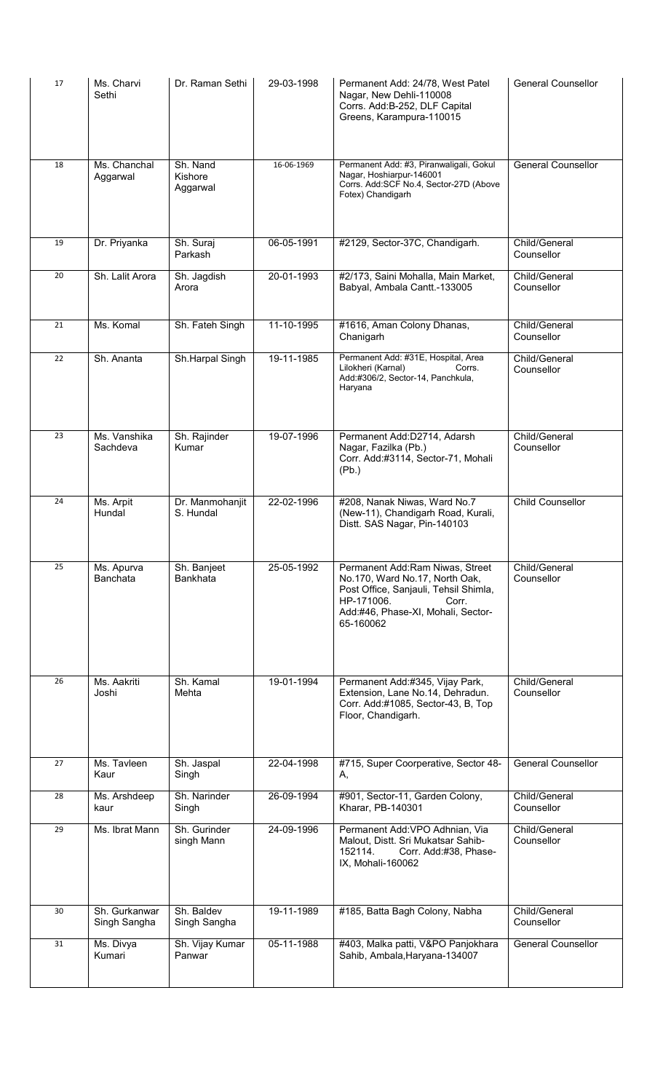| 17 | Ms. Charvi<br>Sethi           | Dr. Raman Sethi                 | 29-03-1998 | Permanent Add: 24/78, West Patel<br>Nagar, New Dehli-110008<br>Corrs. Add:B-252, DLF Capital<br>Greens, Karampura-110015                                                             | <b>General Counsellor</b>   |
|----|-------------------------------|---------------------------------|------------|--------------------------------------------------------------------------------------------------------------------------------------------------------------------------------------|-----------------------------|
| 18 | Ms. Chanchal<br>Aggarwal      | Sh. Nand<br>Kishore<br>Aggarwal | 16-06-1969 | Permanent Add: #3, Piranwaligali, Gokul<br>Nagar, Hoshiarpur-146001<br>Corrs. Add:SCF No.4, Sector-27D (Above<br>Fotex) Chandigarh                                                   | <b>General Counsellor</b>   |
| 19 | Dr. Priyanka                  | Sh. Suraj<br>Parkash            | 06-05-1991 | #2129, Sector-37C, Chandigarh.                                                                                                                                                       | Child/General<br>Counsellor |
| 20 | Sh. Lalit Arora               | Sh. Jagdish<br>Arora            | 20-01-1993 | #2/173, Saini Mohalla, Main Market,<br>Babyal, Ambala Cantt.-133005                                                                                                                  | Child/General<br>Counsellor |
| 21 | Ms. Komal                     | Sh. Fateh Singh                 | 11-10-1995 | #1616, Aman Colony Dhanas,<br>Chanigarh                                                                                                                                              | Child/General<br>Counsellor |
| 22 | Sh. Ananta                    | Sh.Harpal Singh                 | 19-11-1985 | Permanent Add: #31E, Hospital, Area<br>Lilokheri (Karnal)<br>Corrs.<br>Add:#306/2, Sector-14, Panchkula,<br>Haryana                                                                  | Child/General<br>Counsellor |
| 23 | Ms. Vanshika<br>Sachdeva      | Sh. Rajinder<br>Kumar           | 19-07-1996 | Permanent Add:D2714, Adarsh<br>Nagar, Fazilka (Pb.)<br>Corr. Add:#3114, Sector-71, Mohali<br>(Pb.)                                                                                   | Child/General<br>Counsellor |
| 24 | Ms. Arpit<br>Hundal           | Dr. Manmohanjit<br>S. Hundal    | 22-02-1996 | #208, Nanak Niwas, Ward No.7<br>(New-11), Chandigarh Road, Kurali,<br>Distt. SAS Nagar, Pin-140103                                                                                   | Child Counsellor            |
| 25 | Ms. Apurva<br>Banchata        | Sh. Banjeet<br>Bankhata         | 25-05-1992 | Permanent Add:Ram Niwas, Street<br>No.170, Ward No.17, North Oak,<br>Post Office, Sanjauli, Tehsil Shimla,<br>HP-171006.<br>Corr.<br>Add:#46, Phase-XI, Mohali, Sector-<br>65-160062 | Child/General<br>Counsellor |
| 26 | Ms. Aakriti<br>Joshi          | Sh. Kamal<br>Mehta              | 19-01-1994 | Permanent Add:#345, Vijay Park,<br>Extension, Lane No.14, Dehradun.<br>Corr. Add:#1085, Sector-43, B, Top<br>Floor, Chandigarh.                                                      | Child/General<br>Counsellor |
| 27 | Ms. Tavleen<br>Kaur           | Sh. Jaspal<br>Singh             | 22-04-1998 | #715, Super Coorperative, Sector 48-<br>Α,                                                                                                                                           | General Counsellor          |
| 28 | Ms. Arshdeep<br>kaur          | Sh. Narinder<br>Singh           | 26-09-1994 | #901, Sector-11, Garden Colony,<br>Kharar, PB-140301                                                                                                                                 | Child/General<br>Counsellor |
| 29 | Ms. Ibrat Mann                | Sh. Gurinder<br>singh Mann      | 24-09-1996 | Permanent Add: VPO Adhnian, Via<br>Malout, Distt. Sri Mukatsar Sahib-<br>152114.<br>Corr. Add:#38, Phase-<br>IX, Mohali-160062                                                       | Child/General<br>Counsellor |
| 30 | Sh. Gurkanwar<br>Singh Sangha | Sh. Baldev<br>Singh Sangha      | 19-11-1989 | #185, Batta Bagh Colony, Nabha                                                                                                                                                       | Child/General<br>Counsellor |
| 31 | Ms. Divya<br>Kumari           | Sh. Vijay Kumar<br>Panwar       | 05-11-1988 | #403, Malka patti, V&PO Panjokhara<br>Sahib, Ambala, Haryana-134007                                                                                                                  | General Counsellor          |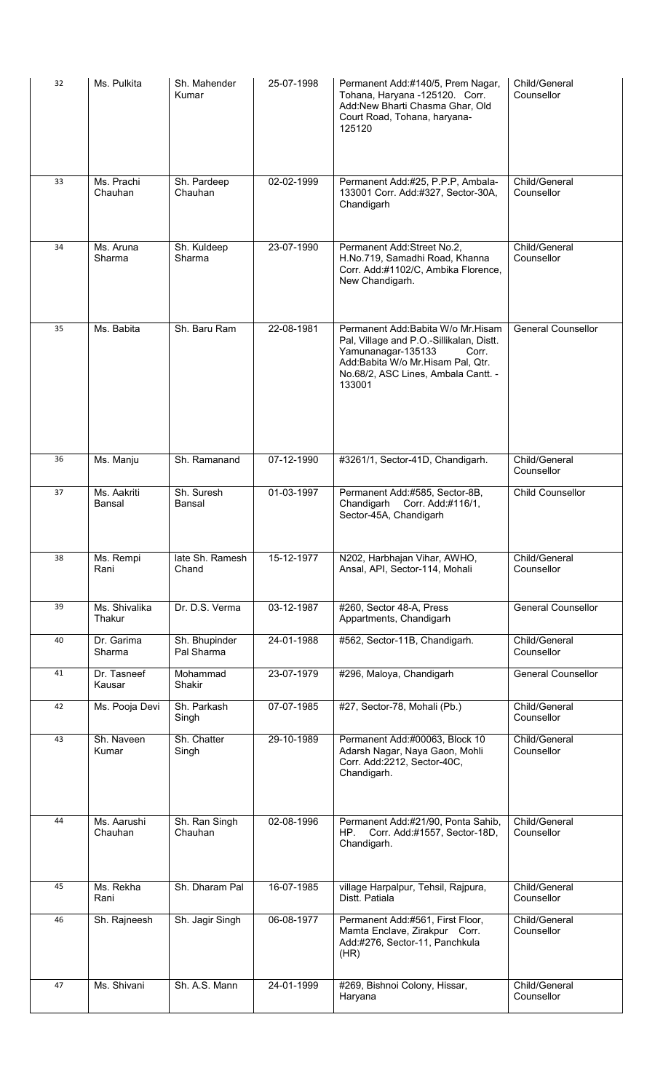| 32 | Ms. Pulkita             | Sh. Mahender<br>Kumar       | 25-07-1998 | Permanent Add:#140/5, Prem Nagar,<br>Tohana, Haryana -125120. Corr.<br>Add:New Bharti Chasma Ghar, Old<br>Court Road, Tohana, haryana-<br>125120                                                   | Child/General<br>Counsellor |
|----|-------------------------|-----------------------------|------------|----------------------------------------------------------------------------------------------------------------------------------------------------------------------------------------------------|-----------------------------|
| 33 | Ms. Prachi<br>Chauhan   | Sh. Pardeep<br>Chauhan      | 02-02-1999 | Permanent Add:#25, P.P.P, Ambala-<br>133001 Corr. Add:#327, Sector-30A,<br>Chandigarh                                                                                                              | Child/General<br>Counsellor |
| 34 | Ms. Aruna<br>Sharma     | Sh. Kuldeep<br>Sharma       | 23-07-1990 | Permanent Add:Street No.2,<br>H.No.719, Samadhi Road, Khanna<br>Corr. Add:#1102/C, Ambika Florence,<br>New Chandigarh.                                                                             | Child/General<br>Counsellor |
| 35 | Ms. Babita              | Sh. Baru Ram                | 22-08-1981 | Permanent Add:Babita W/o Mr.Hisam<br>Pal, Village and P.O.-Sillikalan, Distt.<br>Yamunanagar-135133<br>Corr.<br>Add:Babita W/o Mr.Hisam Pal, Qtr.<br>No.68/2, ASC Lines, Ambala Cantt. -<br>133001 | General Counsellor          |
| 36 | Ms. Manju               | Sh. Ramanand                | 07-12-1990 | #3261/1, Sector-41D, Chandigarh.                                                                                                                                                                   | Child/General<br>Counsellor |
| 37 | Ms. Aakriti<br>Bansal   | Sh. Suresh<br>Bansal        | 01-03-1997 | Permanent Add:#585, Sector-8B,<br>Corr. Add:#116/1,<br>Chandigarh<br>Sector-45A, Chandigarh                                                                                                        | <b>Child Counsellor</b>     |
| 38 | Ms. Rempi<br>Rani       | late Sh. Ramesh<br>Chand    | 15-12-1977 | N202, Harbhajan Vihar, AWHO,<br>Ansal, API, Sector-114, Mohali                                                                                                                                     | Child/General<br>Counsellor |
| 39 | Ms. Shivalika<br>Thakur | Dr. D.S. Verma              | 03-12-1987 | #260, Sector 48-A, Press<br>Appartments, Chandigarh                                                                                                                                                | General Counsellor          |
| 40 | Dr. Garima<br>Sharma    | Sh. Bhupinder<br>Pal Sharma | 24-01-1988 | #562, Sector-11B, Chandigarh.                                                                                                                                                                      | Child/General<br>Counsellor |
| 41 | Dr. Tasneef<br>Kausar   | Mohammad<br>Shakir          | 23-07-1979 | #296, Maloya, Chandigarh                                                                                                                                                                           | <b>General Counsellor</b>   |
| 42 | Ms. Pooja Devi          | Sh. Parkash<br>Singh        | 07-07-1985 | #27, Sector-78, Mohali (Pb.)                                                                                                                                                                       | Child/General<br>Counsellor |
| 43 | Sh. Naveen<br>Kumar     | Sh. Chatter<br>Singh        | 29-10-1989 | Permanent Add:#00063, Block 10<br>Adarsh Nagar, Naya Gaon, Mohli<br>Corr. Add:2212, Sector-40C,<br>Chandigarh.                                                                                     | Child/General<br>Counsellor |
| 44 | Ms. Aarushi<br>Chauhan  | Sh. Ran Singh<br>Chauhan    | 02-08-1996 | Permanent Add:#21/90, Ponta Sahib,<br>HP.<br>Corr. Add:#1557, Sector-18D,<br>Chandigarh.                                                                                                           | Child/General<br>Counsellor |
| 45 | Ms. Rekha<br>Rani       | Sh. Dharam Pal              | 16-07-1985 | village Harpalpur, Tehsil, Rajpura,<br>Distt. Patiala                                                                                                                                              | Child/General<br>Counsellor |
| 46 | Sh. Rajneesh            | Sh. Jagir Singh             | 06-08-1977 | Permanent Add:#561, First Floor,<br>Mamta Enclave, Zirakpur Corr.<br>Add:#276, Sector-11, Panchkula<br>(HR)                                                                                        | Child/General<br>Counsellor |
| 47 | Ms. Shivani             | Sh. A.S. Mann               | 24-01-1999 | #269, Bishnoi Colony, Hissar,<br>Haryana                                                                                                                                                           | Child/General<br>Counsellor |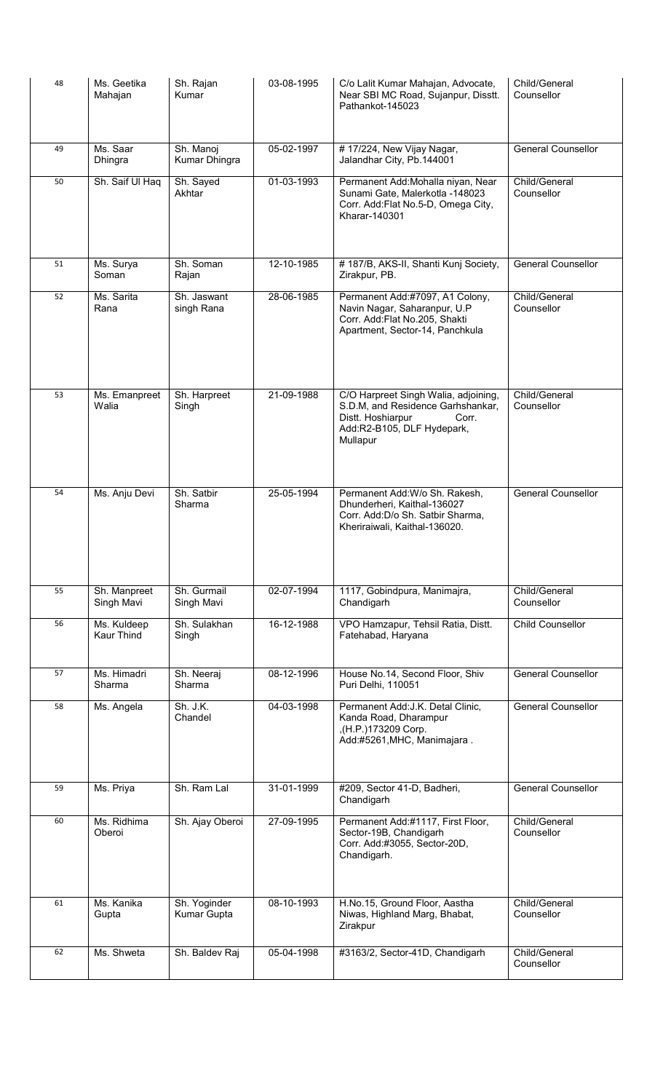| 48 | Ms. Geetika<br>Mahajan     | Sh. Rajan<br>Kumar          | 03-08-1995 | C/o Lalit Kumar Mahajan, Advocate,<br>Near SBI MC Road, Sujanpur, Disstt.<br>Pathankot-145023                                                     | Child/General<br>Counsellor |
|----|----------------------------|-----------------------------|------------|---------------------------------------------------------------------------------------------------------------------------------------------------|-----------------------------|
| 49 | Ms. Saar<br>Dhingra        | Sh. Manoj<br>Kumar Dhingra  | 05-02-1997 | #17/224, New Vijay Nagar,<br>Jalandhar City, Pb.144001                                                                                            | <b>General Counsellor</b>   |
| 50 | Sh. Saif UI Haq            | Sh. Sayed<br>Akhtar         | 01-03-1993 | Permanent Add:Mohalla niyan, Near<br>Sunami Gate, Malerkotla -148023<br>Corr. Add: Flat No.5-D, Omega City,<br>Kharar-140301                      | Child/General<br>Counsellor |
| 51 | Ms. Surya<br>Soman         | Sh. Soman<br>Rajan          | 12-10-1985 | #187/B, AKS-II, Shanti Kunj Society,<br>Zirakpur, PB.                                                                                             | General Counsellor          |
| 52 | Ms. Sarita<br>Rana         | Sh. Jaswant<br>singh Rana   | 28-06-1985 | Permanent Add:#7097, A1 Colony,<br>Navin Nagar, Saharanpur, U.P<br>Corr. Add:Flat No.205, Shakti<br>Apartment, Sector-14, Panchkula               | Child/General<br>Counsellor |
| 53 | Ms. Emanpreet<br>Walia     | Sh. Harpreet<br>Singh       | 21-09-1988 | C/O Harpreet Singh Walia, adjoining,<br>S.D.M, and Residence Garhshankar,<br>Distt. Hoshiarpur<br>Corr.<br>Add:R2-B105, DLF Hydepark,<br>Mullapur | Child/General<br>Counsellor |
| 54 | Ms. Anju Devi              | Sh. Satbir<br>Sharma        | 25-05-1994 | Permanent Add: W/o Sh. Rakesh,<br>Dhunderheri, Kaithal-136027<br>Corr. Add: D/o Sh. Satbir Sharma,<br>Kheriraiwali, Kaithal-136020.               | <b>General Counsellor</b>   |
| 55 | Sh. Manpreet<br>Singh Mavi | Sh. Gurmail<br>Singh Mavi   | 02-07-1994 | 1117, Gobindpura, Manimajra,<br>Chandigarh                                                                                                        | Child/General<br>Counsellor |
| 56 | Ms. Kuldeep<br>Kaur Thind  | Sh. Sulakhan<br>Singh       | 16-12-1988 | VPO Hamzapur, Tehsil Ratia, Distt.<br>Fatehabad, Haryana                                                                                          | Child Counsellor            |
| 57 | Ms. Himadri<br>Sharma      | Sh. Neeraj<br>Sharma        | 08-12-1996 | House No.14, Second Floor, Shiv<br>Puri Delhi, 110051                                                                                             | <b>General Counsellor</b>   |
| 58 | Ms. Angela                 | Sh. J.K.<br>Chandel         | 04-03-1998 | Permanent Add: J.K. Detal Clinic,<br>Kanda Road, Dharampur<br>,(H.P.)173209 Corp.<br>Add:#5261, MHC, Manimajara.                                  | <b>General Counsellor</b>   |
| 59 | Ms. Priya                  | Sh. Ram Lal                 | 31-01-1999 | #209, Sector 41-D, Badheri,<br>Chandigarh                                                                                                         | <b>General Counsellor</b>   |
| 60 | Ms. Ridhima<br>Oberoi      | Sh. Ajay Oberoi             | 27-09-1995 | Permanent Add:#1117, First Floor,<br>Sector-19B, Chandigarh<br>Corr. Add:#3055, Sector-20D,<br>Chandigarh.                                        | Child/General<br>Counsellor |
| 61 | Ms. Kanika<br>Gupta        | Sh. Yoginder<br>Kumar Gupta | 08-10-1993 | H.No.15, Ground Floor, Aastha<br>Niwas, Highland Marg, Bhabat,<br>Zirakpur                                                                        | Child/General<br>Counsellor |
| 62 | Ms. Shweta                 | Sh. Baldev Raj              | 05-04-1998 | #3163/2, Sector-41D, Chandigarh                                                                                                                   | Child/General<br>Counsellor |